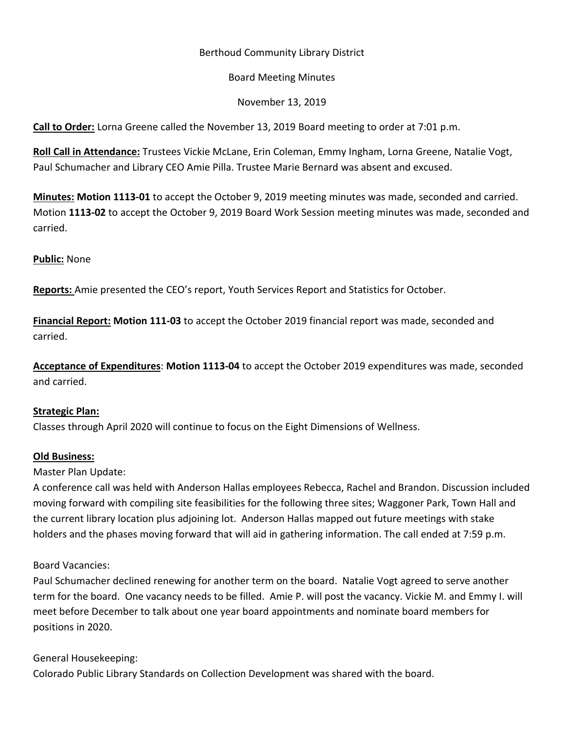# Berthoud Community Library District

#### Board Meeting Minutes

November 13, 2019

**Call to Order:** Lorna Greene called the November 13, 2019 Board meeting to order at 7:01 p.m.

**Roll Call in Attendance:** Trustees Vickie McLane, Erin Coleman, Emmy Ingham, Lorna Greene, Natalie Vogt, Paul Schumacher and Library CEO Amie Pilla. Trustee Marie Bernard was absent and excused.

**Minutes: Motion 1113-01** to accept the October 9, 2019 meeting minutes was made, seconded and carried. Motion **1113-02** to accept the October 9, 2019 Board Work Session meeting minutes was made, seconded and carried.

## **Public:** None

**Reports:** Amie presented the CEO's report, Youth Services Report and Statistics for October.

**Financial Report: Motion 111-03** to accept the October 2019 financial report was made, seconded and carried.

**Acceptance of Expenditures**: **Motion 1113-04** to accept the October 2019 expenditures was made, seconded and carried.

## **Strategic Plan:**

Classes through April 2020 will continue to focus on the Eight Dimensions of Wellness.

## **Old Business:**

Master Plan Update:

A conference call was held with Anderson Hallas employees Rebecca, Rachel and Brandon. Discussion included moving forward with compiling site feasibilities for the following three sites; Waggoner Park, Town Hall and the current library location plus adjoining lot. Anderson Hallas mapped out future meetings with stake holders and the phases moving forward that will aid in gathering information. The call ended at 7:59 p.m.

## Board Vacancies:

Paul Schumacher declined renewing for another term on the board. Natalie Vogt agreed to serve another term for the board. One vacancy needs to be filled. Amie P. will post the vacancy. Vickie M. and Emmy I. will meet before December to talk about one year board appointments and nominate board members for positions in 2020.

## General Housekeeping:

Colorado Public Library Standards on Collection Development was shared with the board.